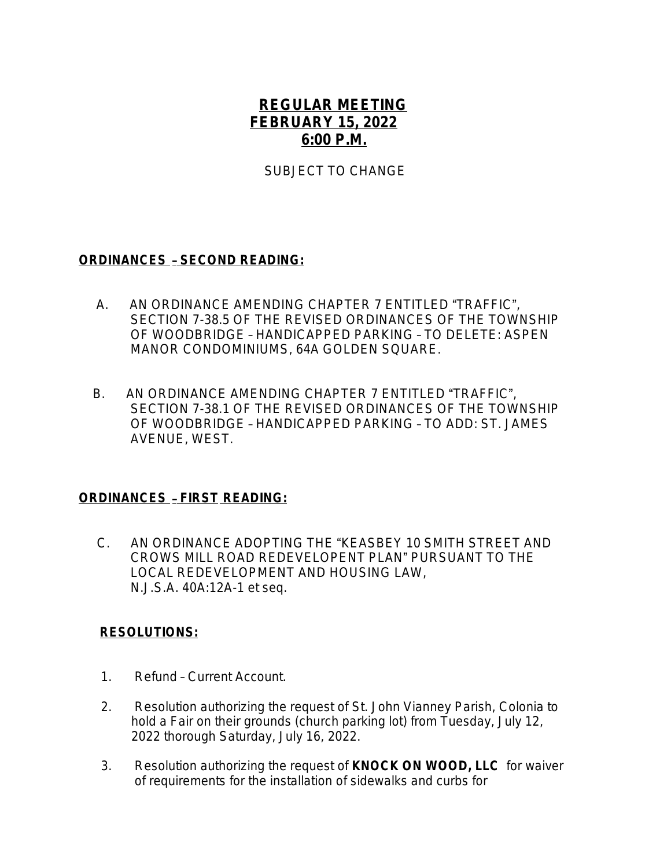## **REGULAR MEETING FEBRUARY 15, 2022 6:00 P.M.**

SUBJECT TO CHANGE

## **ORDINANCES** – **SECOND READING:**

- A.AN ORDINANCE AMENDING CHAPTER 7 ENTITLED "TRAFFIC", SECTION 7-38.5 OF THE REVISED ORDINANCES OF THE TOWNSHIP OF WOODBRIDGE – HANDICAPPED PARKING – TO DELETE: ASPEN MANOR CONDOMINIUMS, 64A GOLDEN SQUARE.
- B. AN ORDINANCE AMENDING CHAPTER 7 ENTITLED "TRAFFIC", SECTION 7-38.1 OF THE REVISED ORDINANCES OF THE TOWNSHIP OF WOODBRIDGE – HANDICAPPED PARKING – TO ADD: ST. JAMES AVENUE, WEST.

## **ORDINANCES** – **FIRST READING:**

C.AN ORDINANCE ADOPTING THE "KEASBEY 10 SMITH STREET AND CROWS MILL ROAD REDEVELOPENT PLAN" PURSUANT TO THE LOCAL REDEVELOPMENT AND HOUSING LAW, *N.J.S.A.* 40A:12A-1 *et seq.*

## **RESOLUTIONS:**

- 1. Refund Current Account.
- 2. Resolution authorizing the request of St. John Vianney Parish, Colonia to hold a Fair on their grounds (church parking lot) from Tuesday, July 12, 2022 thorough Saturday, July 16, 2022.
- 3. Resolution authorizing the request of **KNOCK ON WOOD, LLC** for waiver of requirements for the installation of sidewalks and curbs for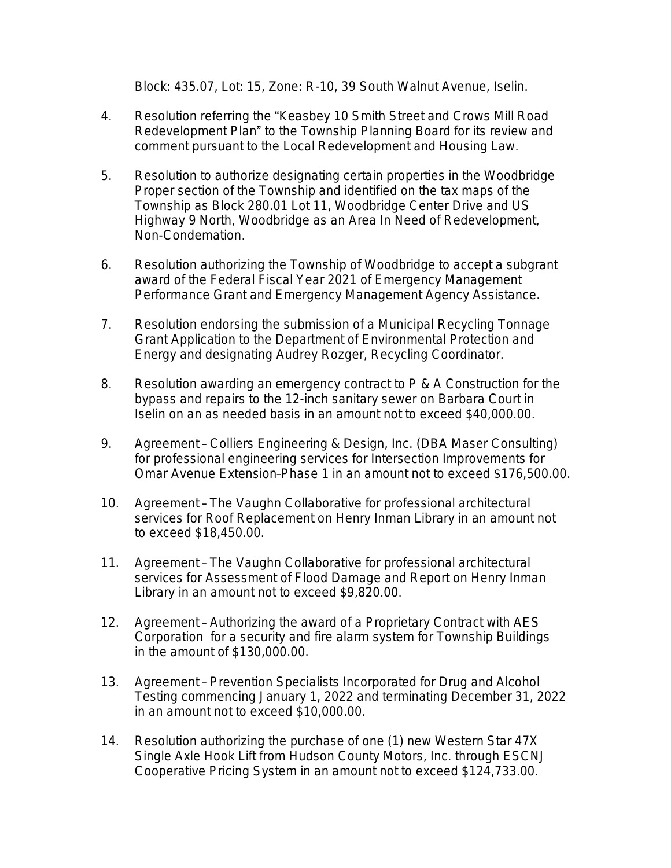Block: 435.07, Lot: 15, Zone: R-10, 39 South Walnut Avenue, Iselin.

- 4. Resolution referring the "Keasbey 10 Smith Street and Crows Mill Road Redevelopment Plan" to the Township Planning Board for its review and comment pursuant to the Local Redevelopment and Housing Law.
- 5. Resolution to authorize designating certain properties in the Woodbridge Proper section of the Township and identified on the tax maps of the Township as Block 280.01 Lot 11, Woodbridge Center Drive and US Highway 9 North, Woodbridge as an Area In Need of Redevelopment, Non-Condemation.
- 6. Resolution authorizing the Township of Woodbridge to accept a subgrant award of the Federal Fiscal Year 2021 of Emergency Management Performance Grant and Emergency Management Agency Assistance.
- 7. Resolution endorsing the submission of a Municipal Recycling Tonnage Grant Application to the Department of Environmental Protection and Energy and designating Audrey Rozger, Recycling Coordinator.
- 8. Resolution awarding an emergency contract to P & A Construction for the bypass and repairs to the 12-inch sanitary sewer on Barbara Court in Iselin on an as needed basis in an amount not to exceed \$40,000.00.
- 9. Agreement Colliers Engineering & Design, Inc. (DBA Maser Consulting) for professional engineering services for Intersection Improvements for Omar Avenue Extension–Phase 1 in an amount not to exceed \$176,500.00.
- 10. Agreement The Vaughn Collaborative for professional architectural services for Roof Replacement on Henry Inman Library in an amount not to exceed \$18,450.00.
- 11. Agreement The Vaughn Collaborative for professional architectural services for Assessment of Flood Damage and Report on Henry Inman Library in an amount not to exceed \$9,820.00.
- 12. Agreement Authorizing the award of a Proprietary Contract with AES Corporation for a security and fire alarm system for Township Buildings in the amount of \$130,000.00.
- 13. Agreement Prevention Specialists Incorporated for Drug and Alcohol Testing commencing January 1, 2022 and terminating December 31, 2022 in an amount not to exceed \$10,000.00.
- 14. Resolution authorizing the purchase of one (1) new Western Star 47X Single Axle Hook Lift from Hudson County Motors, Inc. through ESCNJ Cooperative Pricing System in an amount not to exceed \$124,733.00.